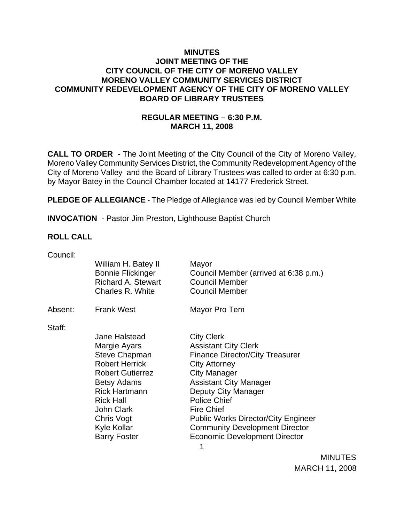## **MINUTES JOINT MEETING OF THE CITY COUNCIL OF THE CITY OF MORENO VALLEY MORENO VALLEY COMMUNITY SERVICES DISTRICT COMMUNITY REDEVELOPMENT AGENCY OF THE CITY OF MORENO VALLEY BOARD OF LIBRARY TRUSTEES**

## **REGULAR MEETING – 6:30 P.M. MARCH 11, 2008**

**CALL TO ORDER** - The Joint Meeting of the City Council of the City of Moreno Valley, Moreno Valley Community Services District, the Community Redevelopment Agency of the City of Moreno Valley and the Board of Library Trustees was called to order at 6:30 p.m. by Mayor Batey in the Council Chamber located at 14177 Frederick Street.

**PLEDGE OF ALLEGIANCE** - The Pledge of Allegiance was led by Council Member White

**INVOCATION** - Pastor Jim Preston, Lighthouse Baptist Church

#### **ROLL CALL**

| Council: |                                                                                                                                                         |                                                                                                                                                                                                     |
|----------|---------------------------------------------------------------------------------------------------------------------------------------------------------|-----------------------------------------------------------------------------------------------------------------------------------------------------------------------------------------------------|
|          | William H. Batey II<br><b>Bonnie Flickinger</b><br><b>Richard A. Stewart</b><br>Charles R. White                                                        | Mayor<br>Council Member (arrived at 6:38 p.m.)<br><b>Council Member</b><br><b>Council Member</b>                                                                                                    |
| Absent:  | <b>Frank West</b>                                                                                                                                       | Mayor Pro Tem                                                                                                                                                                                       |
| Staff:   | Jane Halstead<br>Margie Ayars<br><b>Steve Chapman</b><br><b>Robert Herrick</b><br><b>Robert Gutierrez</b><br><b>Betsy Adams</b><br><b>Rick Hartmann</b> | <b>City Clerk</b><br><b>Assistant City Clerk</b><br><b>Finance Director/City Treasurer</b><br><b>City Attorney</b><br><b>City Manager</b><br><b>Assistant City Manager</b>                          |
|          | <b>Rick Hall</b><br><b>John Clark</b><br>Chris Vogt<br>Kyle Kollar<br><b>Barry Foster</b>                                                               | Deputy City Manager<br><b>Police Chief</b><br><b>Fire Chief</b><br><b>Public Works Director/City Engineer</b><br><b>Community Development Director</b><br><b>Economic Development Director</b><br>1 |

**MINUTES** MARCH 11, 2008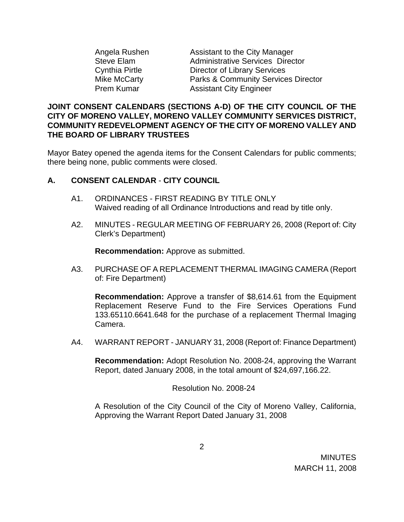Assistant to the City Manager Administrative Services Director Director of Library Services Parks & Community Services Director **Assistant City Engineer** 

#### **JOINT CONSENT CALENDARS (SECTIONS A-D) OF THE CITY COUNCIL OF THE CITY OF MORENO VALLEY, MORENO VALLEY COMMUNITY SERVICES DISTRICT, COMMUNITY REDEVELOPMENT AGENCY OF THE CITY OF MORENO VALLEY AND THE BOARD OF LIBRARY TRUSTEES**

Mayor Batey opened the agenda items for the Consent Calendars for public comments; there being none, public comments were closed.

### **A. CONSENT CALENDAR** - **CITY COUNCIL**

- A1. ORDINANCES FIRST READING BY TITLE ONLY Waived reading of all Ordinance Introductions and read by title only.
- A2. MINUTES REGULAR MEETING OF FEBRUARY 26, 2008 (Report of: City Clerk's Department)

**Recommendation:** Approve as submitted.

A3. PURCHASE OF A REPLACEMENT THERMAL IMAGING CAMERA (Report of: Fire Department)

**Recommendation:** Approve a transfer of \$8,614.61 from the Equipment Replacement Reserve Fund to the Fire Services Operations Fund 133.65110.6641.648 for the purchase of a replacement Thermal Imaging Camera.

A4. WARRANT REPORT - JANUARY 31, 2008 (Report of: Finance Department)

**Recommendation:** Adopt Resolution No. 2008-24, approving the Warrant Report, dated January 2008, in the total amount of \$24,697,166.22.

Resolution No. 2008-24

A Resolution of the City Council of the City of Moreno Valley, California, Approving the Warrant Report Dated January 31, 2008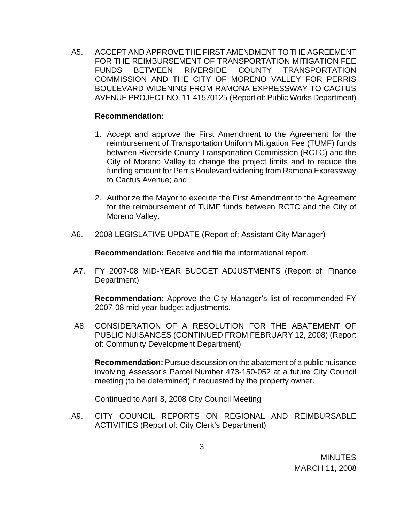A5. ACCEPT AND APPROVE THE FIRST AMENDMENT TO THE AGREEMENT FOR THE REIMBURSEMENT OF TRANSPORTATION MITIGATION FEE FUNDS BETWEEN RIVERSIDE COUNTY TRANSPORTATION COMMISSION AND THE CITY OF MORENO VALLEY FOR PERRIS BOULEVARD WIDENING FROM RAMONA EXPRESSWAY TO CACTUS AVENUE PROJECT NO. 11-41570125 (Report of: Public Works Department)

#### **Recommendation:**

- 1. Accept and approve the First Amendment to the Agreement for the reimbursement of Transportation Uniform Mitigation Fee (TUMF) funds between Riverside County Transportation Commission (RCTC) and the City of Moreno Valley to change the project limits and to reduce the funding amount for Perris Boulevard widening from Ramona Expressway to Cactus Avenue; and
- 2. Authorize the Mayor to execute the First Amendment to the Agreement for the reimbursement of TUMF funds between RCTC and the City of Moreno Valley.
- A6. 2008 LEGISLATIVE UPDATE (Report of: Assistant City Manager)

**Recommendation:** Receive and file the informational report.

 A7. FY 2007-08 MID-YEAR BUDGET ADJUSTMENTS (Report of: Finance Department)

**Recommendation:** Approve the City Manager's list of recommended FY 2007-08 mid-year budget adjustments.

A8. CONSIDERATION OF A RESOLUTION FOR THE ABATEMENT OF PUBLIC NUISANCES (CONTINUED FROM FEBRUARY 12, 2008) (Report of: Community Development Department)

**Recommendation:** Pursue discussion on the abatement of a public nuisance involving Assessor's Parcel Number 473-150-052 at a future City Council meeting (to be determined) if requested by the property owner.

Continued to April 8, 2008 City Council Meeting

A9. CITY COUNCIL REPORTS ON REGIONAL AND REIMBURSABLE ACTIVITIES (Report of: City Clerk's Department)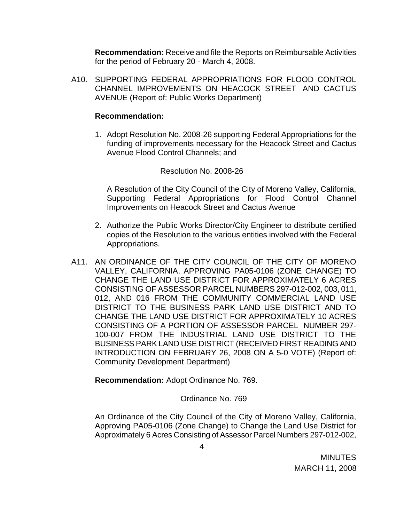**Recommendation:** Receive and file the Reports on Reimbursable Activities for the period of February 20 - March 4, 2008.

A10. SUPPORTING FEDERAL APPROPRIATIONS FOR FLOOD CONTROL CHANNEL IMPROVEMENTS ON HEACOCK STREET AND CACTUS AVENUE (Report of: Public Works Department)

#### **Recommendation:**

1. Adopt Resolution No. 2008-26 supporting Federal Appropriations for the funding of improvements necessary for the Heacock Street and Cactus Avenue Flood Control Channels; and

#### Resolution No. 2008-26

A Resolution of the City Council of the City of Moreno Valley, California, Supporting Federal Appropriations for Flood Control Channel Improvements on Heacock Street and Cactus Avenue

- 2. Authorize the Public Works Director/City Engineer to distribute certified copies of the Resolution to the various entities involved with the Federal Appropriations.
- A11. AN ORDINANCE OF THE CITY COUNCIL OF THE CITY OF MORENO VALLEY, CALIFORNIA, APPROVING PA05-0106 (ZONE CHANGE) TO CHANGE THE LAND USE DISTRICT FOR APPROXIMATELY 6 ACRES CONSISTING OF ASSESSOR PARCEL NUMBERS 297-012-002, 003, 011, 012, AND 016 FROM THE COMMUNITY COMMERCIAL LAND USE DISTRICT TO THE BUSINESS PARK LAND USE DISTRICT AND TO CHANGE THE LAND USE DISTRICT FOR APPROXIMATELY 10 ACRES CONSISTING OF A PORTION OF ASSESSOR PARCEL NUMBER 297- 100-007 FROM THE INDUSTRIAL LAND USE DISTRICT TO THE BUSINESS PARK LAND USE DISTRICT (RECEIVED FIRST READING AND INTRODUCTION ON FEBRUARY 26, 2008 ON A 5-0 VOTE) (Report of: Community Development Department)

**Recommendation:** Adopt Ordinance No. 769.

#### Ordinance No. 769

An Ordinance of the City Council of the City of Moreno Valley, California, Approving PA05-0106 (Zone Change) to Change the Land Use District for Approximately 6 Acres Consisting of Assessor Parcel Numbers 297-012-002,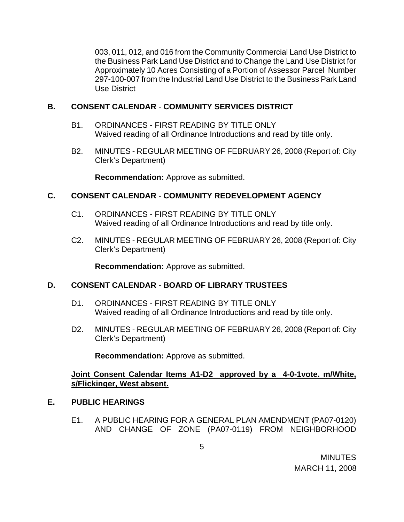003, 011, 012, and 016 from the Community Commercial Land Use District to the Business Park Land Use District and to Change the Land Use District for Approximately 10 Acres Consisting of a Portion of Assessor Parcel Number 297-100-007 from the Industrial Land Use District to the Business Park Land Use District

## **B. CONSENT CALENDAR** - **COMMUNITY SERVICES DISTRICT**

- B1. ORDINANCES FIRST READING BY TITLE ONLY Waived reading of all Ordinance Introductions and read by title only.
- B2. MINUTES REGULAR MEETING OF FEBRUARY 26, 2008 (Report of: City Clerk's Department)

**Recommendation:** Approve as submitted.

## **C. CONSENT CALENDAR** - **COMMUNITY REDEVELOPMENT AGENCY**

- C1. ORDINANCES FIRST READING BY TITLE ONLY Waived reading of all Ordinance Introductions and read by title only.
- C2. MINUTES REGULAR MEETING OF FEBRUARY 26, 2008 (Report of: City Clerk's Department)

**Recommendation:** Approve as submitted.

### **D. CONSENT CALENDAR** - **BOARD OF LIBRARY TRUSTEES**

- D1. ORDINANCES FIRST READING BY TITLE ONLY Waived reading of all Ordinance Introductions and read by title only.
- D2. MINUTES REGULAR MEETING OF FEBRUARY 26, 2008 (Report of: City Clerk's Department)

**Recommendation:** Approve as submitted.

## **Joint Consent Calendar Items A1-D2 approved by a 4-0-1vote. m/White, s/Flickinger, West absent.**

## **E. PUBLIC HEARINGS**

E1. A PUBLIC HEARING FOR A GENERAL PLAN AMENDMENT (PA07-0120) AND CHANGE OF ZONE (PA07-0119) FROM NEIGHBORHOOD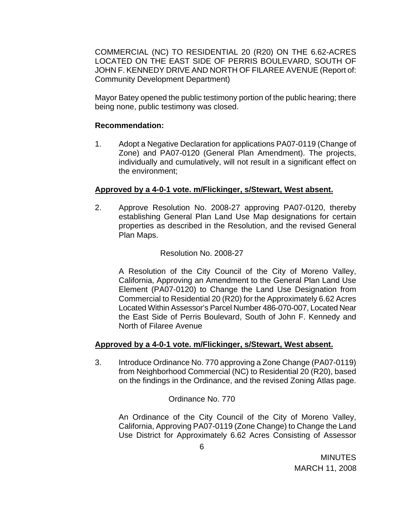COMMERCIAL (NC) TO RESIDENTIAL 20 (R20) ON THE 6.62-ACRES LOCATED ON THE EAST SIDE OF PERRIS BOULEVARD, SOUTH OF JOHN F. KENNEDY DRIVE AND NORTH OF FILAREE AVENUE (Report of: Community Development Department)

Mayor Batey opened the public testimony portion of the public hearing; there being none, public testimony was closed.

## **Recommendation:**

1. Adopt a Negative Declaration for applications PA07-0119 (Change of Zone) and PA07-0120 (General Plan Amendment). The projects, individually and cumulatively, will not result in a significant effect on the environment;

### **Approved by a 4-0-1 vote. m/Flickinger, s/Stewart, West absent.**

2. Approve Resolution No. 2008-27 approving PA07-0120, thereby establishing General Plan Land Use Map designations for certain properties as described in the Resolution, and the revised General Plan Maps.

## Resolution No. 2008-27

A Resolution of the City Council of the City of Moreno Valley, California, Approving an Amendment to the General Plan Land Use Element (PA07-0120) to Change the Land Use Designation from Commercial to Residential 20 (R20) for the Approximately 6.62 Acres Located Within Assessor's Parcel Number 486-070-007, Located Near the East Side of Perris Boulevard, South of John F. Kennedy and North of Filaree Avenue

## **Approved by a 4-0-1 vote. m/Flickinger, s/Stewart, West absent.**

3. Introduce Ordinance No. 770 approving a Zone Change (PA07-0119) from Neighborhood Commercial (NC) to Residential 20 (R20), based on the findings in the Ordinance, and the revised Zoning Atlas page.

## Ordinance No. 770

An Ordinance of the City Council of the City of Moreno Valley, California, Approving PA07-0119 (Zone Change) to Change the Land Use District for Approximately 6.62 Acres Consisting of Assessor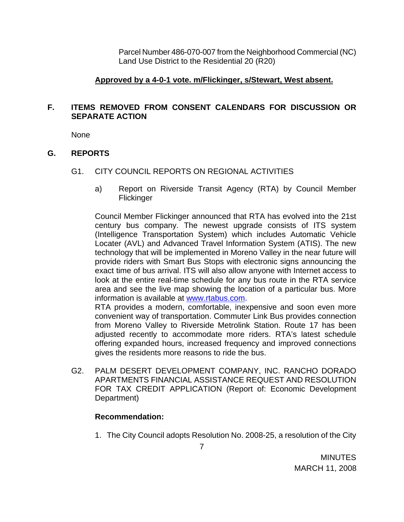Parcel Number 486-070-007 from the Neighborhood Commercial (NC) Land Use District to the Residential 20 (R20)

### **Approved by a 4-0-1 vote. m/Flickinger, s/Stewart, West absent.**

## **F. ITEMS REMOVED FROM CONSENT CALENDARS FOR DISCUSSION OR SEPARATE ACTION**

None

## **G. REPORTS**

- G1. CITY COUNCIL REPORTS ON REGIONAL ACTIVITIES
	- a) Report on Riverside Transit Agency (RTA) by Council Member **Flickinger**

Council Member Flickinger announced that RTA has evolved into the 21st century bus company. The newest upgrade consists of ITS system (Intelligence Transportation System) which includes Automatic Vehicle Locater (AVL) and Advanced Travel Information System (ATIS). The new technology that will be implemented in Moreno Valley in the near future will provide riders with Smart Bus Stops with electronic signs announcing the exact time of bus arrival. ITS will also allow anyone with Internet access to look at the entire real-time schedule for any bus route in the RTA service area and see the live map showing the location of a particular bus. More information is available at www.rtabus.com.

RTA provides a modern, comfortable, inexpensive and soon even more convenient way of transportation. Commuter Link Bus provides connection from Moreno Valley to Riverside Metrolink Station. Route 17 has been adjusted recently to accommodate more riders. RTA's latest schedule offering expanded hours, increased frequency and improved connections gives the residents more reasons to ride the bus.

G2. PALM DESERT DEVELOPMENT COMPANY, INC. RANCHO DORADO APARTMENTS FINANCIAL ASSISTANCE REQUEST AND RESOLUTION FOR TAX CREDIT APPLICATION (Report of: Economic Development Department)

### **Recommendation:**

1. The City Council adopts Resolution No. 2008-25, a resolution of the City

**MINUTES** MARCH 11, 2008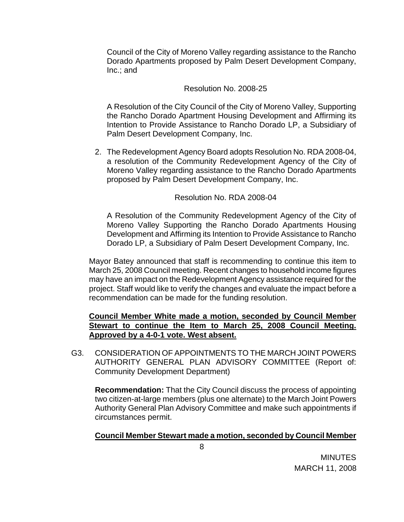Council of the City of Moreno Valley regarding assistance to the Rancho Dorado Apartments proposed by Palm Desert Development Company, Inc.; and

#### Resolution No. 2008-25

A Resolution of the City Council of the City of Moreno Valley, Supporting the Rancho Dorado Apartment Housing Development and Affirming its Intention to Provide Assistance to Rancho Dorado LP, a Subsidiary of Palm Desert Development Company, Inc.

2. The Redevelopment Agency Board adopts Resolution No. RDA 2008-04, a resolution of the Community Redevelopment Agency of the City of Moreno Valley regarding assistance to the Rancho Dorado Apartments proposed by Palm Desert Development Company, Inc.

#### Resolution No. RDA 2008-04

A Resolution of the Community Redevelopment Agency of the City of Moreno Valley Supporting the Rancho Dorado Apartments Housing Development and Affirming its Intention to Provide Assistance to Rancho Dorado LP, a Subsidiary of Palm Desert Development Company, Inc.

 Mayor Batey announced that staff is recommending to continue this item to March 25, 2008 Council meeting. Recent changes to household income figures may have an impact on the Redevelopment Agency assistance required for the project. Staff would like to verify the changes and evaluate the impact before a recommendation can be made for the funding resolution.

## **Council Member White made a motion, seconded by Council Member Stewart to continue the Item to March 25, 2008 Council Meeting. Approved by a 4-0-1 vote. West absent.**

G3. CONSIDERATION OF APPOINTMENTS TO THE MARCH JOINT POWERS AUTHORITY GENERAL PLAN ADVISORY COMMITTEE (Report of: Community Development Department)

**Recommendation:** That the City Council discuss the process of appointing two citizen-at-large members (plus one alternate) to the March Joint Powers Authority General Plan Advisory Committee and make such appointments if circumstances permit.

#### **Council Member Stewart made a motion, seconded by Council Member**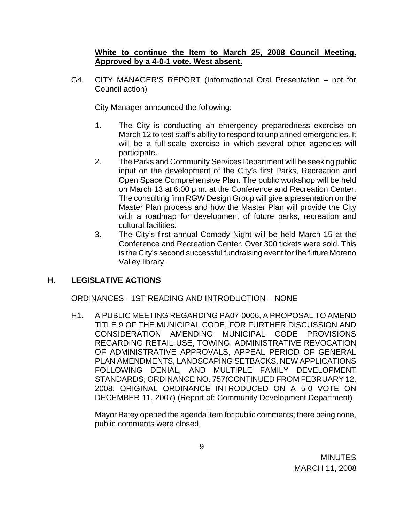## **White to continue the Item to March 25, 2008 Council Meeting. Approved by a 4-0-1 vote. West absent.**

G4. CITY MANAGER'S REPORT (Informational Oral Presentation – not for Council action)

City Manager announced the following:

- 1. The City is conducting an emergency preparedness exercise on March 12 to test staff's ability to respond to unplanned emergencies. It will be a full-scale exercise in which several other agencies will participate.
- 2. The Parks and Community Services Department will be seeking public input on the development of the City's first Parks, Recreation and Open Space Comprehensive Plan. The public workshop will be held on March 13 at 6:00 p.m. at the Conference and Recreation Center. The consulting firm RGW Design Group will give a presentation on the Master Plan process and how the Master Plan will provide the City with a roadmap for development of future parks, recreation and cultural facilities.
- 3. The City's first annual Comedy Night will be held March 15 at the Conference and Recreation Center. Over 300 tickets were sold. This is the City's second successful fundraising event for the future Moreno Valley library.

## **H. LEGISLATIVE ACTIONS**

ORDINANCES - 1ST READING AND INTRODUCTION – NONE

H1. A PUBLIC MEETING REGARDING PA07-0006, A PROPOSAL TO AMEND TITLE 9 OF THE MUNICIPAL CODE, FOR FURTHER DISCUSSION AND CONSIDERATION AMENDING MUNICIPAL CODE PROVISIONS REGARDING RETAIL USE, TOWING, ADMINISTRATIVE REVOCATION OF ADMINISTRATIVE APPROVALS, APPEAL PERIOD OF GENERAL PLAN AMENDMENTS, LANDSCAPING SETBACKS, NEW APPLICATIONS FOLLOWING DENIAL, AND MULTIPLE FAMILY DEVELOPMENT STANDARDS; ORDINANCE NO. 757(CONTINUED FROM FEBRUARY 12, 2008, ORIGINAL ORDINANCE INTRODUCED ON A 5-0 VOTE ON DECEMBER 11, 2007) (Report of: Community Development Department)

 Mayor Batey opened the agenda item for public comments; there being none, public comments were closed.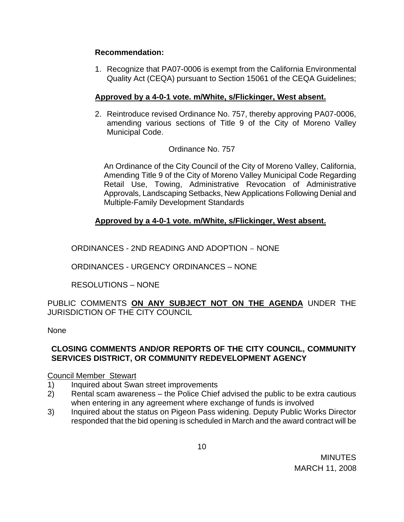## **Recommendation:**

1. Recognize that PA07-0006 is exempt from the California Environmental Quality Act (CEQA) pursuant to Section 15061 of the CEQA Guidelines;

## **Approved by a 4-0-1 vote. m/White, s/Flickinger, West absent.**

2. Reintroduce revised Ordinance No. 757, thereby approving PA07-0006, amending various sections of Title 9 of the City of Moreno Valley Municipal Code.

## Ordinance No. 757

An Ordinance of the City Council of the City of Moreno Valley, California, Amending Title 9 of the City of Moreno Valley Municipal Code Regarding Retail Use, Towing, Administrative Revocation of Administrative Approvals, Landscaping Setbacks, New Applications Following Denial and Multiple-Family Development Standards

## **Approved by a 4-0-1 vote. m/White, s/Flickinger, West absent.**

ORDINANCES - 2ND READING AND ADOPTION – NONE

ORDINANCES - URGENCY ORDINANCES – NONE

RESOLUTIONS – NONE

PUBLIC COMMENTS **ON ANY SUBJECT NOT ON THE AGENDA** UNDER THE JURISDICTION OF THE CITY COUNCIL

None

## **CLOSING COMMENTS AND/OR REPORTS OF THE CITY COUNCIL, COMMUNITY SERVICES DISTRICT, OR COMMUNITY REDEVELOPMENT AGENCY**

### Council Member Stewart

- 1) Inquired about Swan street improvements
- 2) Rental scam awareness the Police Chief advised the public to be extra cautious when entering in any agreement where exchange of funds is involved
- 3) Inquired about the status on Pigeon Pass widening. Deputy Public Works Director responded that the bid opening is scheduled in March and the award contract will be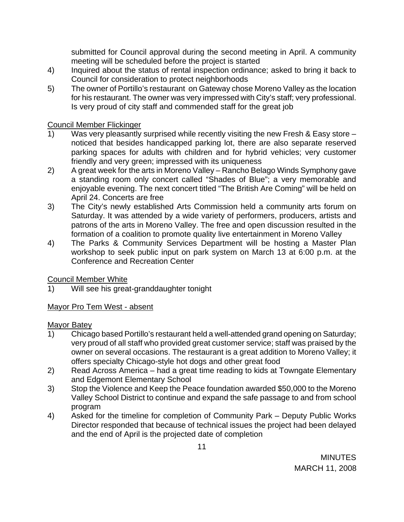submitted for Council approval during the second meeting in April. A community meeting will be scheduled before the project is started

- 4) Inquired about the status of rental inspection ordinance; asked to bring it back to Council for consideration to protect neighborhoods
- 5) The owner of Portillo's restaurant on Gateway chose Moreno Valley as the location for his restaurant. The owner was very impressed with City's staff; very professional. Is very proud of city staff and commended staff for the great job

## Council Member Flickinger

- 1) Was very pleasantly surprised while recently visiting the new Fresh & Easy store noticed that besides handicapped parking lot, there are also separate reserved parking spaces for adults with children and for hybrid vehicles; very customer friendly and very green; impressed with its uniqueness
- 2) A great week for the arts in Moreno Valley Rancho Belago Winds Symphony gave a standing room only concert called "Shades of Blue"; a very memorable and enjoyable evening. The next concert titled "The British Are Coming" will be held on April 24. Concerts are free
- 3) The City's newly established Arts Commission held a community arts forum on Saturday. It was attended by a wide variety of performers, producers, artists and patrons of the arts in Moreno Valley. The free and open discussion resulted in the formation of a coalition to promote quality live entertainment in Moreno Valley
- 4) The Parks & Community Services Department will be hosting a Master Plan workshop to seek public input on park system on March 13 at 6:00 p.m. at the Conference and Recreation Center

# Council Member White

1) Will see his great-granddaughter tonight

# Mayor Pro Tem West - absent

## Mayor Batey

- 1) Chicago based Portillo's restaurant held a well-attended grand opening on Saturday; very proud of all staff who provided great customer service; staff was praised by the owner on several occasions. The restaurant is a great addition to Moreno Valley; it offers specialty Chicago-style hot dogs and other great food
- 2) Read Across America had a great time reading to kids at Towngate Elementary and Edgemont Elementary School
- 3) Stop the Violence and Keep the Peace foundation awarded \$50,000 to the Moreno Valley School District to continue and expand the safe passage to and from school program
- 4) Asked for the timeline for completion of Community Park Deputy Public Works Director responded that because of technical issues the project had been delayed and the end of April is the projected date of completion